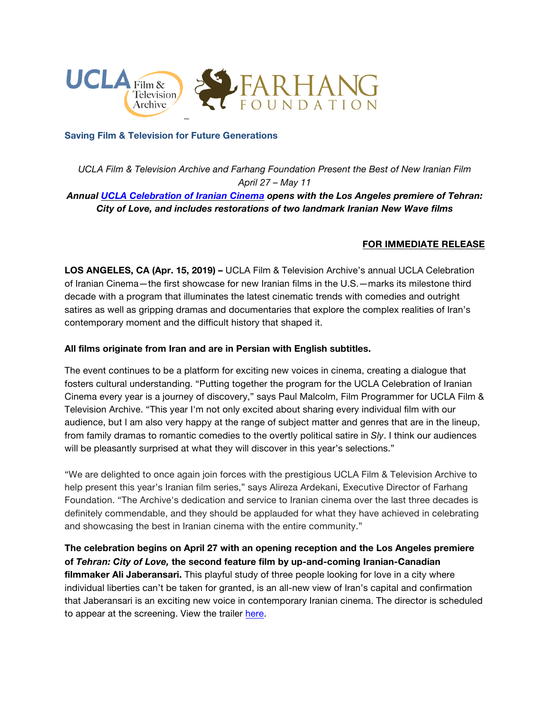

### **Saving Film & Television for Future Generations**

*UCLA Film & Television Archive and Farhang Foundation Present the Best of New Iranian Film April 27 – May 11 Annual UCLA [Celebration](https://www.cinema.ucla.edu/events/2019/ucla-celebration-of-iranian-cinema) of Iranian Cinema opens with the Los Angeles premiere of Tehran:*

*City of Love, and includes restorations of two landmark Iranian New Wave films*

# **FOR IMMEDIATE RELEASE**

**LOS ANGELES, CA (Apr. 15, 2019) –** UCLA Film & Television Archive's annual UCLA Celebration of Iranian Cinema—the first showcase for new Iranian films in the U.S.—marks its milestone third decade with a program that illuminates the latest cinematic trends with comedies and outright satires as well as gripping dramas and documentaries that explore the complex realities of Iran's contemporary moment and the difficult history that shaped it.

### **All films originate from Iran and are in Persian with English subtitles.**

The event continues to be a platform for exciting new voices in cinema, creating a dialogue that fosters cultural understanding. "Putting together the program for the UCLA Celebration of Iranian Cinema every year is a journey of discovery," says Paul Malcolm, Film Programmer for UCLA Film & Television Archive. "This year I'm not only excited about sharing every individual film with our audience, but I am also very happy at the range of subject matter and genres that are in the lineup, from family dramas to romantic comedies to the overtly political satire in *Sly*. I think our audiences will be pleasantly surprised at what they will discover in this year's selections."

"We are delighted to once again join forces with the prestigious UCLA Film & Television Archive to help present this year's Iranian film series," says Alireza Ardekani, Executive Director of Farhang Foundation. "The Archive's dedication and service to Iranian cinema over the last three decades is definitely commendable, and they should be applauded for what they have achieved in celebrating and showcasing the best in Iranian cinema with the entire community."

**The celebration begins on April 27 with an opening reception and the Los Angeles premiere of** *Tehran: City of Love,* **the second feature film by up-and-coming Iranian-Canadian filmmaker Ali Jaberansari.** This playful study of three people looking for love in a city where individual liberties can't be taken for granted, is an all-new view of Iran's capital and confirmation that Jaberansari is an exciting new voice in contemporary Iranian cinema. The director is scheduled to appear at the screening. View the trailer [here.](https://www.youtube.com/watch?v=d0TaZSHNfAM)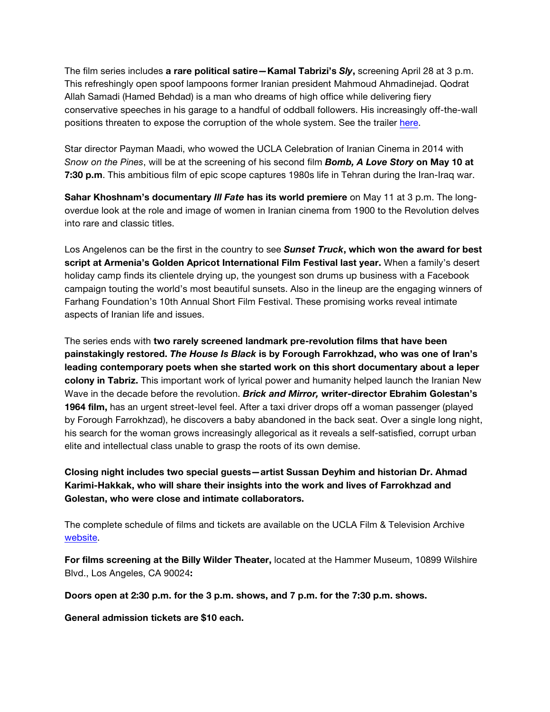The film series includes **a rare political satire—Kamal Tabrizi's** *Sly***,** screening April 28 at 3 p.m. This refreshingly open spoof lampoons former Iranian president Mahmoud Ahmadinejad. Qodrat Allah Samadi (Hamed Behdad) is a man who dreams of high office while delivering fiery conservative speeches in his garage to a handful of oddball followers. His increasingly off-the-wall positions threaten to expose the corruption of the whole system. See the trailer [here.](https://www.youtube.com/watch?v=maamEpcsMtw)

Star director Payman Maadi, who wowed the UCLA Celebration of Iranian Cinema in 2014 with *Snow on the Pines*, will be at the screening of his second film *Bomb, A Love Story* **on May 10 at 7:30 p.m**. This ambitious film of epic scope captures 1980s life in Tehran during the Iran-Iraq war.

**Sahar Khoshnam's documentary** *Ill Fate* **has its world premiere** on May 11 at 3 p.m. The longoverdue look at the role and image of women in Iranian cinema from 1900 to the Revolution delves into rare and classic titles.

Los Angelenos can be the first in the country to see *Sunset Truck***, which won the award for best script at Armenia's Golden Apricot International Film Festival last year.** When a family's desert holiday camp finds its clientele drying up, the youngest son drums up business with a Facebook campaign touting the world's most beautiful sunsets. Also in the lineup are the engaging winners of Farhang Foundation's 10th Annual Short Film Festival. These promising works reveal intimate aspects of Iranian life and issues.

The series ends with **two rarely screened landmark pre-revolution films that have been painstakingly restored.** *The House Is Black* **is by Forough Farrokhzad, who was one of Iran's leading contemporary poets when she started work on this short documentary about a leper colony in Tabriz.** This important work of lyrical power and humanity helped launch the Iranian New Wave in the decade before the revolution. *Brick and Mirror,* **writer-director Ebrahim Golestan's 1964 film,** has an urgent street-level feel. After a taxi driver drops off a woman passenger (played by Forough Farrokhzad), he discovers a baby abandoned in the back seat. Over a single long night, his search for the woman grows increasingly allegorical as it reveals a self-satisfied, corrupt urban elite and intellectual class unable to grasp the roots of its own demise.

**Closing night includes two special guests—artist Sussan Deyhim and historian Dr. Ahmad Karimi-Hakkak, who will share their insights into the work and lives of Farrokhzad and Golestan, who were close and intimate collaborators.**

The complete schedule of films and tickets are available on the UCLA Film & Television Archive [website.](https://www.cinema.ucla.edu/events)

**For films screening at the Billy Wilder Theater,** located at the Hammer Museum, 10899 Wilshire Blvd., Los Angeles, CA 90024**:**

**Doors open at 2:30 p.m. for the 3 p.m. shows, and 7 p.m. for the 7:30 p.m. shows.**

**General admission tickets are \$10 each.**